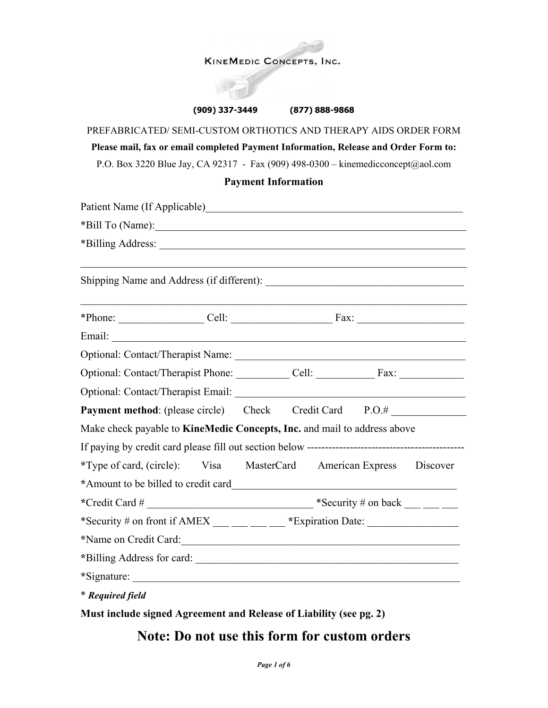### **KINEMEDIC CONCEPTS, INC.**

#### **(909) 337-3449 (877) 888-9868**

# PREFABRICATED/ SEMI-CUSTOM ORTHOTICS AND THERAPY AIDS ORDER FORM **Please mail, fax or email completed Payment Information, Release and Order Form to:** P.O. Box 3220 Blue Jay, CA 92317 - Fax (909) 498-0300 – kinemedicconcept@aol.com

### **Payment Information**

| *Bill To (Name):                                                         |  |  |                                                      |
|--------------------------------------------------------------------------|--|--|------------------------------------------------------|
|                                                                          |  |  |                                                      |
|                                                                          |  |  |                                                      |
| $*$ Phone: Cell: Cell: Fax: $\frac{1}{2}$                                |  |  |                                                      |
|                                                                          |  |  |                                                      |
|                                                                          |  |  |                                                      |
| Optional: Contact/Therapist Phone: Cell: Cell: Fax: Cell: Fax:           |  |  |                                                      |
|                                                                          |  |  |                                                      |
| <b>Payment method:</b> (please circle) Check Credit Card P.O.#           |  |  |                                                      |
| Make check payable to KineMedic Concepts, Inc. and mail to address above |  |  |                                                      |
|                                                                          |  |  |                                                      |
| *Type of card, (circle): Visa MasterCard American Express                |  |  | Discover                                             |
| *Amount to be billed to credit card                                      |  |  |                                                      |
|                                                                          |  |  | *Security # on back $\_\_\_\_\_\_\_\_\_\_\_\_\_\_\_$ |
| *Security # on front if AMEX $\_\_\_\_\_\_\_\_\_\$ *Expiration Date:     |  |  |                                                      |
| *Name on Credit Card:                                                    |  |  |                                                      |
|                                                                          |  |  |                                                      |
| *Signature:                                                              |  |  |                                                      |
| * Required field                                                         |  |  |                                                      |

**Must include signed Agreement and Release of Liability (see pg. 2)**

# **Note: Do not use this form for custom orders**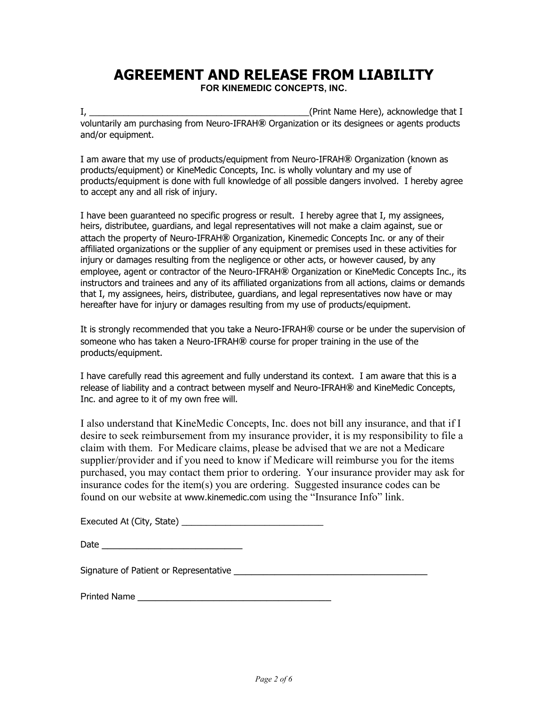# **AGREEMENT AND RELEASE FROM LIABILITY**

**FOR KINEMEDIC CONCEPTS, INC.**

I, the contract of the contract of the contract of the contract of the contract of the contract of the contract of the contract of the contract of the contract of the contract of the contract of the contract of the contrac voluntarily am purchasing from Neuro-IFRAH**®** Organization or its designees or agents products and/or equipment.

I am aware that my use of products/equipment from Neuro-IFRAH**®** Organization (known as products/equipment) or KineMedic Concepts, Inc. is wholly voluntary and my use of products/equipment is done with full knowledge of all possible dangers involved. I hereby agree to accept any and all risk of injury.

I have been guaranteed no specific progress or result. I hereby agree that I, my assignees, heirs, distributee, guardians, and legal representatives will not make a claim against, sue or attach the property of Neuro-IFRAH**®** Organization, Kinemedic Concepts Inc. or any of their affiliated organizations or the supplier of any equipment or premises used in these activities for injury or damages resulting from the negligence or other acts, or however caused, by any employee, agent or contractor of the Neuro-IFRAH**®** Organization or KineMedic Concepts Inc., its instructors and trainees and any of its affiliated organizations from all actions, claims or demands that I, my assignees, heirs, distributee, guardians, and legal representatives now have or may hereafter have for injury or damages resulting from my use of products/equipment.

It is strongly recommended that you take a Neuro-IFRAH**®** course or be under the supervision of someone who has taken a Neuro-IFRAH**®** course for proper training in the use of the products/equipment.

I have carefully read this agreement and fully understand its context. I am aware that this is a release of liability and a contract between myself and Neuro-IFRAH**®** and KineMedic Concepts, Inc. and agree to it of my own free will.

I also understand that KineMedic Concepts, Inc. does not bill any insurance, and that if I desire to seek reimbursement from my insurance provider, it is my responsibility to file a claim with them. For Medicare claims, please be advised that we are not a Medicare supplier/provider and if you need to know if Medicare will reimburse you for the items purchased, you may contact them prior to ordering. Your insurance provider may ask for insurance codes for the item(s) you are ordering. Suggested insurance codes can be found on our website at [www.kinemedic.com](http://www.kinemedic.com/) using the "Insurance Info" link.

| Executed At (City, State) |  |
|---------------------------|--|
|                           |  |

| Date |  |  |  |  |  |
|------|--|--|--|--|--|
|      |  |  |  |  |  |

Signature of Patient or Representative \_\_\_\_\_\_\_\_\_\_\_\_\_\_\_\_\_\_\_\_\_\_\_\_\_\_\_\_\_\_\_\_\_

Printed Name \_\_\_\_\_\_\_\_\_\_\_\_\_\_\_\_\_\_\_\_\_\_\_\_\_\_\_\_\_\_\_\_\_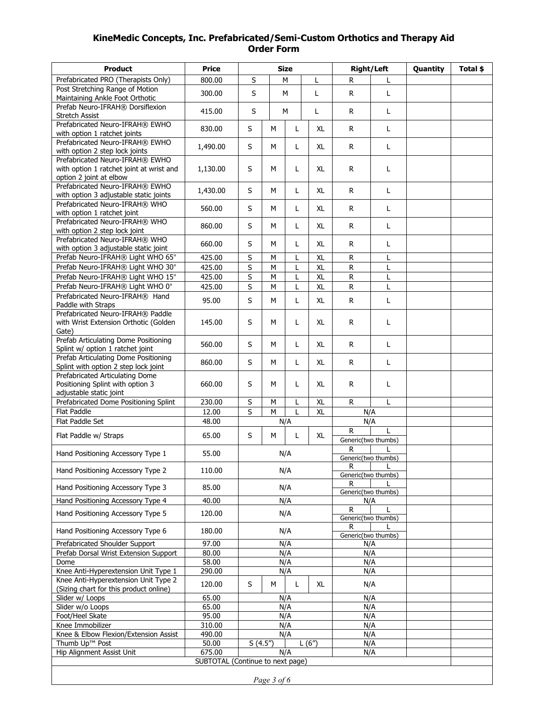## **KineMedic Concepts, Inc. Prefabricated/Semi-Custom Orthotics and Therapy Aid Order Form**

| <b>Product</b>                                                                                         | <b>Price</b>                                   |                         | <b>Size</b> |                          | <b>Right/Left</b> |                                     | Quantity | Total \$ |  |
|--------------------------------------------------------------------------------------------------------|------------------------------------------------|-------------------------|-------------|--------------------------|-------------------|-------------------------------------|----------|----------|--|
| Prefabricated PRO (Therapists Only)                                                                    | 800.00                                         | S                       | M<br>L      |                          | R                 | L                                   |          |          |  |
| Post Stretching Range of Motion<br>Maintaining Ankle Foot Orthotic                                     | 300.00                                         | S                       | L<br>M      |                          | $\mathsf{R}$      | Г                                   |          |          |  |
| Prefab Neuro-IFRAH® Dorsiflexion<br>Stretch Assist                                                     | 415.00                                         | S                       | M<br>L      |                          | R                 | L                                   |          |          |  |
| Prefabricated Neuro-IFRAH® EWHO<br>with option 1 ratchet joints                                        | 830.00                                         | S                       | M           | L                        | XL                | ${\sf R}$                           | Г        |          |  |
| Prefabricated Neuro-IFRAH® EWHO<br>with option 2 step lock joints                                      | 1,490.00                                       | S                       | М           | L                        | XL                | R                                   | Г        |          |  |
| Prefabricated Neuro-IFRAH® EWHO<br>with option 1 ratchet joint at wrist and<br>option 2 joint at elbow | 1,130.00                                       | S                       | М           | L                        | <b>XL</b>         | $\mathsf{R}$                        | L        |          |  |
| Prefabricated Neuro-IFRAH® EWHO<br>with option 3 adjustable static joints                              | 1,430.00                                       | S                       | M           | L                        | <b>XL</b>         | $\mathsf{R}$                        | L        |          |  |
| Prefabricated Neuro-IFRAH® WHO<br>with option 1 ratchet joint                                          | 560.00                                         | S                       | М           | L                        | XL                | R                                   | L        |          |  |
| Prefabricated Neuro-IFRAH® WHO<br>with option 2 step lock joint                                        | 860.00                                         | S                       | M           | L                        | <b>XL</b>         | $\mathsf{R}$                        | Г        |          |  |
| Prefabricated Neuro-IFRAH® WHO<br>with option 3 adjustable static joint                                | 660.00                                         | S                       | м           | L                        | XL                | R                                   | L        |          |  |
| Prefab Neuro-IFRAH® Light WHO 65°                                                                      | 425.00                                         | $\overline{\mathsf{s}}$ | М           | L                        | $\overline{X}$    | ${\sf R}$                           | L        |          |  |
| Prefab Neuro-IFRAH® Light WHO 30°                                                                      | 425.00                                         | S                       | M           | L                        | XL                | ${\sf R}$                           | L        |          |  |
| Prefab Neuro-IFRAH® Light WHO 15°                                                                      | 425.00                                         | $\overline{\mathsf{s}}$ | M           | L                        | <b>XL</b>         | ${\sf R}$                           | Г        |          |  |
| Prefab Neuro-IFRAH® Light WHO 0°                                                                       | 425.00                                         | S                       | M           | L                        | <b>XL</b>         | ${\sf R}$                           | L        |          |  |
| Prefabricated Neuro-IFRAH® Hand<br>Paddle with Straps                                                  | 95.00                                          | S                       | М           | L                        | XL                | R                                   | Г        |          |  |
| Prefabricated Neuro-IFRAH® Paddle<br>with Wrist Extension Orthotic (Golden<br>Gate)                    | 145.00                                         | S                       | М           | L                        | XL                | R                                   | L        |          |  |
| Prefab Articulating Dome Positioning<br>Splint w/ option 1 ratchet joint                               | 560.00                                         | S                       | M           | L                        | <b>XL</b>         | $\mathsf{R}$                        | L        |          |  |
| Prefab Articulating Dome Positioning<br>Splint with option 2 step lock joint                           | 860.00                                         | S                       | M           | L                        | XL                | R.                                  | L        |          |  |
| Prefabricated Articulating Dome<br>Positioning Splint with option 3<br>adjustable static joint         | 660.00                                         | S                       | М           | L                        | XL                | R                                   | L        |          |  |
| Prefabricated Dome Positioning Splint                                                                  | 230.00                                         | S                       | M           | L                        | <b>XL</b>         | $\mathsf{R}$                        | L        |          |  |
| <b>Flat Paddle</b>                                                                                     | 12.00                                          | S                       | M           | L                        | XL                |                                     | N/A      |          |  |
| Flat Paddle Set                                                                                        | 48.00                                          |                         |             | N/A                      |                   | N/A                                 |          |          |  |
| Flat Paddle w/ Straps                                                                                  | 65.00                                          | S                       | M           | L                        | XL                | $\mathsf{R}$<br>Generic(two thumbs) |          |          |  |
| Hand Positioning Accessory Type 1                                                                      | 55.00                                          |                         |             | N/A                      |                   | R<br>Generic(two thumbs)            |          |          |  |
| Hand Positioning Accessory Type 2                                                                      | 110.00                                         |                         |             | N/A                      |                   | R<br>L<br>Generic(two thumbs)       |          |          |  |
| Hand Positioning Accessory Type 3                                                                      | 85.00                                          |                         |             | N/A                      |                   | R<br>Generic(two thumbs)            |          |          |  |
| Hand Positioning Accessory Type 4                                                                      | 40.00                                          |                         |             | N/A                      |                   |                                     | N/A      |          |  |
| Hand Positioning Accessory Type 5                                                                      | 120.00                                         |                         |             | N/A                      |                   | R<br>Generic(two thumbs)            |          |          |  |
| Hand Positioning Accessory Type 6                                                                      | 180.00                                         | N/A                     |             | R<br>Generic(two thumbs) |                   |                                     |          |          |  |
| Prefabricated Shoulder Support                                                                         | 97.00                                          | N/A                     |             |                          | N/A               |                                     |          |          |  |
| Prefab Dorsal Wrist Extension Support                                                                  | 80.00                                          | N/A                     |             |                          | N/A               |                                     |          |          |  |
| Dome                                                                                                   | 58.00                                          | N/A                     |             | N/A                      |                   |                                     |          |          |  |
| Knee Anti-Hyperextension Unit Type 1                                                                   | 290.00                                         | N/A                     |             | N/A                      |                   |                                     |          |          |  |
| Knee Anti-Hyperextension Unit Type 2<br>(Sizing chart for this product online)                         | 120.00                                         | S<br>M<br>XL<br>L       |             | N/A                      |                   |                                     |          |          |  |
| Slider w/ Loops                                                                                        | 65.00                                          | N/A                     |             |                          | N/A               |                                     |          |          |  |
| Slider w/o Loops                                                                                       | 65.00                                          | N/A                     |             |                          | N/A               |                                     |          |          |  |
| Foot/Heel Skate                                                                                        | 95.00                                          | N/A                     |             |                          | N/A               |                                     |          |          |  |
| Knee Immobilizer                                                                                       | 310.00                                         | N/A<br>N/A              |             |                          | N/A               |                                     |          |          |  |
| Knee & Elbow Flexion/Extension Assist<br>Thumb Up™ Post                                                | 490.00<br>50.00                                | S(4.5")                 |             |                          | L(6")             |                                     | N/A      |          |  |
| Hip Alignment Assist Unit                                                                              | 675.00                                         |                         |             |                          |                   |                                     | N/A      |          |  |
|                                                                                                        | N/A<br>N/A<br>SUBTOTAL (Continue to next page) |                         |             |                          |                   |                                     |          |          |  |
|                                                                                                        |                                                |                         |             |                          |                   |                                     |          |          |  |
| Page 3 of 6                                                                                            |                                                |                         |             |                          |                   |                                     |          |          |  |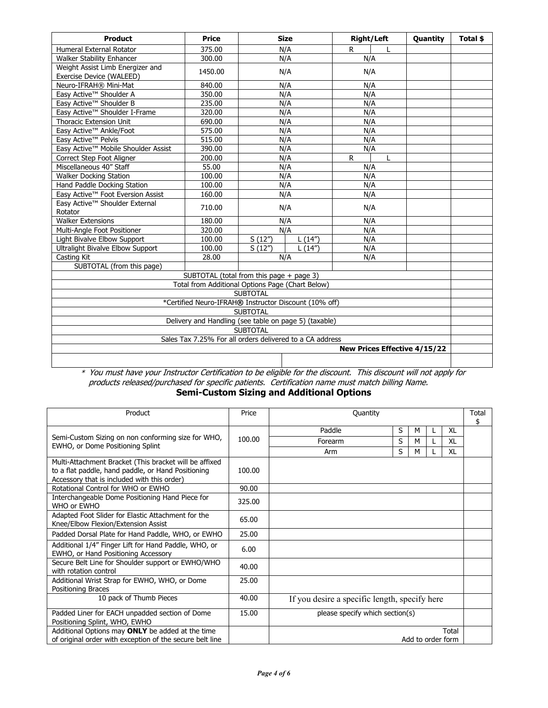| <b>Product</b>                                               | <b>Price</b>                                             |                 | <b>Size</b> |     | <b>Right/Left</b> | Quantity                     | Total \$ |
|--------------------------------------------------------------|----------------------------------------------------------|-----------------|-------------|-----|-------------------|------------------------------|----------|
| Humeral External Rotator                                     | 375.00                                                   | N/A             |             | R.  | L                 |                              |          |
| <b>Walker Stability Enhancer</b>                             | 300.00                                                   | N/A             |             | N/A |                   |                              |          |
| Weight Assist Limb Energizer and<br>Exercise Device (WALEED) | 1450.00                                                  |                 | N/A         | N/A |                   |                              |          |
| Neuro-IFRAH® Mini-Mat                                        | 840.00                                                   |                 | N/A         |     | N/A               |                              |          |
| Easy Active™ Shoulder A                                      | 350.00                                                   |                 | N/A         |     | N/A               |                              |          |
| Easy Active™ Shoulder B                                      | 235.00                                                   |                 | N/A         |     | N/A               |                              |          |
| Easy Active™ Shoulder I-Frame                                | 320.00                                                   |                 | N/A         |     | N/A               |                              |          |
| <b>Thoracic Extension Unit</b>                               | 690.00                                                   |                 | N/A         |     | N/A               |                              |          |
| Easy Active™ Ankle/Foot                                      | 575.00                                                   |                 | N/A         |     | N/A               |                              |          |
| Easy Active™ Pelvis                                          | 515.00                                                   |                 | N/A         |     | N/A               |                              |          |
| Easy Active™ Mobile Shoulder Assist                          | 390.00                                                   |                 | N/A         |     | N/A               |                              |          |
| Correct Step Foot Aligner                                    | 200.00                                                   |                 | N/A         | R.  |                   |                              |          |
| Miscellaneous 40" Staff                                      | 55.00                                                    |                 | N/A         |     | N/A               |                              |          |
| <b>Walker Docking Station</b>                                | 100.00                                                   |                 | N/A         |     | N/A               |                              |          |
| Hand Paddle Docking Station                                  | 100.00                                                   |                 | N/A         |     | N/A               |                              |          |
| Easy Active™ Foot Eversion Assist                            | 160.00                                                   |                 | N/A         |     | N/A               |                              |          |
| Easy Active™ Shoulder External<br>Rotator                    | 710.00                                                   |                 | N/A         |     | N/A               |                              |          |
| <b>Walker Extensions</b>                                     | 180.00                                                   |                 | N/A         |     | N/A               |                              |          |
| Multi-Angle Foot Positioner                                  | 320.00                                                   |                 | N/A         |     | N/A               |                              |          |
| Light Bivalve Elbow Support                                  | 100.00                                                   | S(12")          | L(14")      | N/A |                   |                              |          |
| Ultralight Bivalve Elbow Support                             | 100.00                                                   | S(12")          | L(14")      | N/A |                   |                              |          |
| Casting Kit                                                  | 28.00                                                    |                 | N/A         | N/A |                   |                              |          |
| SUBTOTAL (from this page)                                    |                                                          |                 |             |     |                   |                              |          |
|                                                              | SUBTOTAL (total from this page + page 3)                 |                 |             |     |                   |                              |          |
|                                                              | Total from Additional Options Page (Chart Below)         |                 |             |     |                   |                              |          |
|                                                              |                                                          | <b>SUBTOTAL</b> |             |     |                   |                              |          |
|                                                              | *Certified Neuro-IFRAH® Instructor Discount (10% off)    |                 |             |     |                   |                              |          |
|                                                              |                                                          | <b>SUBTOTAL</b> |             |     |                   |                              |          |
|                                                              | Delivery and Handling (see table on page 5) (taxable)    |                 |             |     |                   |                              |          |
|                                                              |                                                          | <b>SUBTOTAL</b> |             |     |                   |                              |          |
|                                                              | Sales Tax 7.25% For all orders delivered to a CA address |                 |             |     |                   |                              |          |
|                                                              |                                                          |                 |             |     |                   | New Prices Effective 4/15/22 |          |
|                                                              |                                                          |                 |             |     |                   |                              |          |

\* You must have your Instructor Certification to be eligible for the discount. This discount will not apply for products released/purchased for specific patients. Certification name must match billing Name.

**Semi-Custom Sizing and Additional Options**

| Product                                                                                                                                                     | Price  | Quantity                                      |   |   |  |    | Total<br>\$ |
|-------------------------------------------------------------------------------------------------------------------------------------------------------------|--------|-----------------------------------------------|---|---|--|----|-------------|
|                                                                                                                                                             |        | Paddle                                        | S | М |  | XL |             |
| Semi-Custom Sizing on non conforming size for WHO,                                                                                                          | 100.00 | Forearm                                       | S | М |  | XL |             |
| EWHO, or Dome Positioning Splint                                                                                                                            |        | Arm                                           | S | М |  | XL |             |
| Multi-Attachment Bracket (This bracket will be affixed<br>to a flat paddle, hand paddle, or Hand Positioning<br>Accessory that is included with this order) | 100.00 |                                               |   |   |  |    |             |
| Rotational Control for WHO or EWHO                                                                                                                          | 90.00  |                                               |   |   |  |    |             |
| Interchangeable Dome Positioning Hand Piece for<br>WHO or EWHO                                                                                              | 325.00 |                                               |   |   |  |    |             |
| Adapted Foot Slider for Elastic Attachment for the<br>Knee/Elbow Flexion/Extension Assist                                                                   | 65.00  |                                               |   |   |  |    |             |
| Padded Dorsal Plate for Hand Paddle, WHO, or EWHO                                                                                                           | 25.00  |                                               |   |   |  |    |             |
| Additional 1/4" Finger Lift for Hand Paddle, WHO, or<br>EWHO, or Hand Positioning Accessory                                                                 | 6.00   |                                               |   |   |  |    |             |
| Secure Belt Line for Shoulder support or EWHO/WHO<br>with rotation control                                                                                  | 40.00  |                                               |   |   |  |    |             |
| Additional Wrist Strap for EWHO, WHO, or Dome<br>Positioning Braces                                                                                         | 25.00  |                                               |   |   |  |    |             |
| 10 pack of Thumb Pieces                                                                                                                                     | 40.00  | If you desire a specific length, specify here |   |   |  |    |             |
| Padded Liner for EACH unpadded section of Dome<br>Positioning Splint, WHO, EWHO                                                                             | 15.00  | please specify which section(s)               |   |   |  |    |             |
| Additional Options may ONLY be added at the time<br>of original order with exception of the secure belt line                                                |        | Total<br>Add to order form                    |   |   |  |    |             |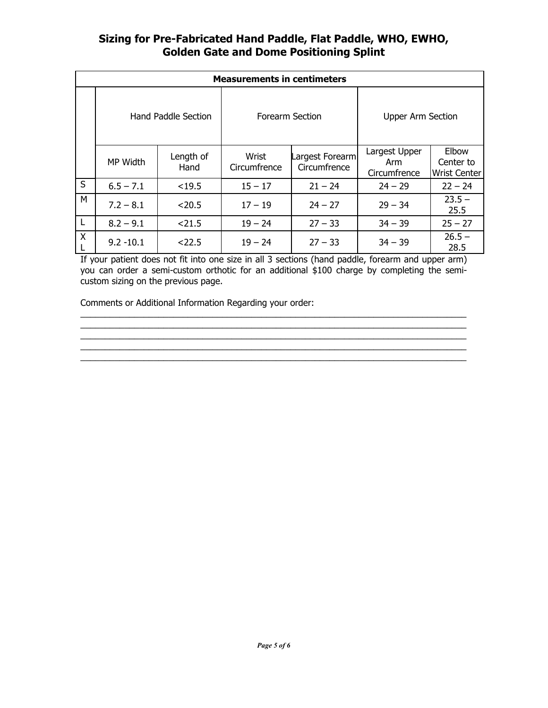# **Sizing for Pre-Fabricated Hand Paddle, Flat Paddle, WHO, EWHO, Golden Gate and Dome Positioning Splint**

|   | <b>Measurements in centimeters</b> |                   |                       |                                 |                                      |                                           |  |  |  |
|---|------------------------------------|-------------------|-----------------------|---------------------------------|--------------------------------------|-------------------------------------------|--|--|--|
|   | Hand Paddle Section                |                   | Forearm Section       |                                 | <b>Upper Arm Section</b>             |                                           |  |  |  |
|   | MP Width                           | Length of<br>Hand | Wrist<br>Circumfrence | Largest Forearm<br>Circumfrence | Largest Upper<br>Arm<br>Circumfrence | Elbow<br>Center to<br><b>Wrist Center</b> |  |  |  |
| S | $6.5 - 7.1$                        | < 19.5            | $15 - 17$             | $21 - 24$                       | $24 - 29$                            | $22 - 24$                                 |  |  |  |
| M | $7.2 - 8.1$                        | < 20.5            | $17 - 19$             | $24 - 27$                       | $29 - 34$                            | $23.5 -$<br>25.5                          |  |  |  |
| L | $8.2 - 9.1$                        | < 21.5            | $19 - 24$             | $27 - 33$                       | $34 - 39$                            | $25 - 27$                                 |  |  |  |
| Χ | $9.2 - 10.1$                       | < 22.5            | $19 - 24$             | $27 - 33$                       | $34 - 39$                            | $26.5 -$<br>28.5                          |  |  |  |

If your patient does not fit into one size in all 3 sections (hand paddle, forearm and upper arm) you can order a semi-custom orthotic for an additional \$100 charge by completing the semicustom sizing on the previous page.

 $\_$  . The contribution of the contribution of the contribution of the contribution of  $\mathcal{L}_\mathcal{A}$ \_\_\_\_\_\_\_\_\_\_\_\_\_\_\_\_\_\_\_\_\_\_\_\_\_\_\_\_\_\_\_\_\_\_\_\_\_\_\_\_\_\_\_\_\_\_\_\_\_\_\_\_\_\_\_\_\_\_\_\_\_\_\_\_\_\_\_\_\_\_\_\_\_\_\_\_\_\_\_

Comments or Additional Information Regarding your order: